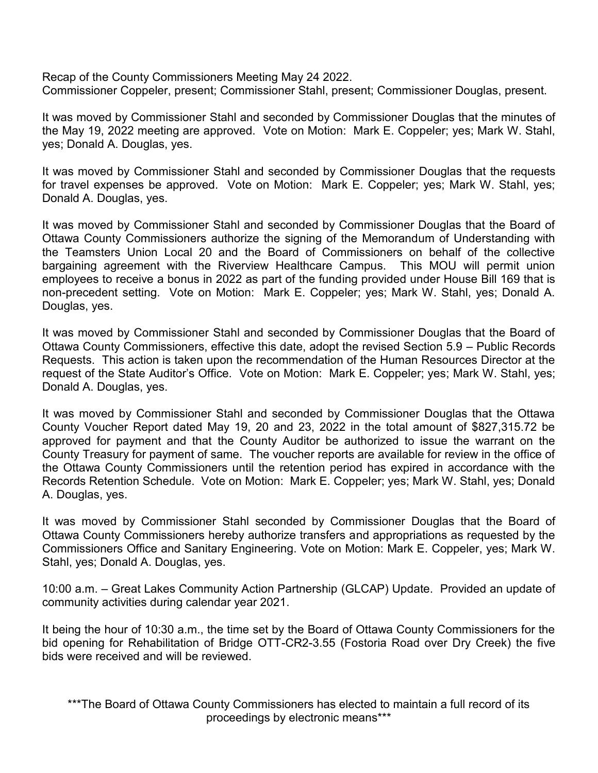Recap of the County Commissioners Meeting May 24 2022. Commissioner Coppeler, present; Commissioner Stahl, present; Commissioner Douglas, present.

It was moved by Commissioner Stahl and seconded by Commissioner Douglas that the minutes of the May 19, 2022 meeting are approved. Vote on Motion: Mark E. Coppeler; yes; Mark W. Stahl, yes; Donald A. Douglas, yes.

It was moved by Commissioner Stahl and seconded by Commissioner Douglas that the requests for travel expenses be approved. Vote on Motion: Mark E. Coppeler; yes; Mark W. Stahl, yes; Donald A. Douglas, yes.

It was moved by Commissioner Stahl and seconded by Commissioner Douglas that the Board of Ottawa County Commissioners authorize the signing of the Memorandum of Understanding with the Teamsters Union Local 20 and the Board of Commissioners on behalf of the collective bargaining agreement with the Riverview Healthcare Campus. This MOU will permit union employees to receive a bonus in 2022 as part of the funding provided under House Bill 169 that is non-precedent setting. Vote on Motion: Mark E. Coppeler; yes; Mark W. Stahl, yes; Donald A. Douglas, yes.

It was moved by Commissioner Stahl and seconded by Commissioner Douglas that the Board of Ottawa County Commissioners, effective this date, adopt the revised Section 5.9 – Public Records Requests. This action is taken upon the recommendation of the Human Resources Director at the request of the State Auditor's Office. Vote on Motion: Mark E. Coppeler; yes; Mark W. Stahl, yes; Donald A. Douglas, yes.

It was moved by Commissioner Stahl and seconded by Commissioner Douglas that the Ottawa County Voucher Report dated May 19, 20 and 23, 2022 in the total amount of \$827,315.72 be approved for payment and that the County Auditor be authorized to issue the warrant on the County Treasury for payment of same. The voucher reports are available for review in the office of the Ottawa County Commissioners until the retention period has expired in accordance with the Records Retention Schedule. Vote on Motion: Mark E. Coppeler; yes; Mark W. Stahl, yes; Donald A. Douglas, yes.

It was moved by Commissioner Stahl seconded by Commissioner Douglas that the Board of Ottawa County Commissioners hereby authorize transfers and appropriations as requested by the Commissioners Office and Sanitary Engineering. Vote on Motion: Mark E. Coppeler, yes; Mark W. Stahl, yes; Donald A. Douglas, yes.

10:00 a.m. – Great Lakes Community Action Partnership (GLCAP) Update. Provided an update of community activities during calendar year 2021.

It being the hour of 10:30 a.m., the time set by the Board of Ottawa County Commissioners for the bid opening for Rehabilitation of Bridge OTT-CR2-3.55 (Fostoria Road over Dry Creek) the five bids were received and will be reviewed.

\*\*\*The Board of Ottawa County Commissioners has elected to maintain a full record of its proceedings by electronic means\*\*\*